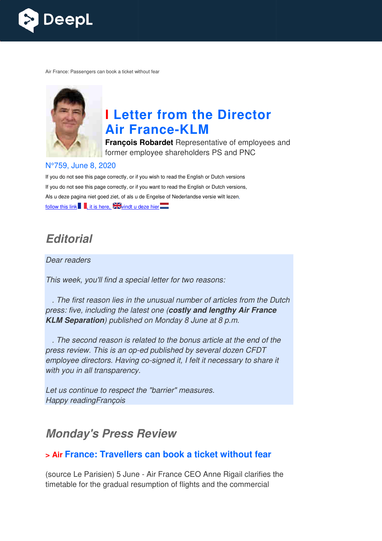

Air France: Passengers can book a ticket without fear



# **I Letter from the Director Air France France-KLM**

**François Robardet** Representative of employees and former employee shareholders PS and PNC

#### N°759, June 8, 2020

If you do not see this page correctly, or if you wish to read the English or Dutch versions If you do not see this page correctly, or if you want to read the English or Dutch versions, Als u deze pagina niet goed ziet, of als u de Engelse of Nederlandse versie wilt lezen, follow this link  $\blacksquare$ , it is here,  $\blacktriangleright$  vindt u deze hier

# *Editorial*

Dear readers

This week, you'll find a special letter for two reasons:

 . The first reason lies in the unusual number of articles from the Dutch press: five, including the latest one ( *costly and lengthy Air France KLM Separation*) published on Monday 8 June at 8 p.m.

 . The second reason is related to the bonus article at the end of the press review. This is an op-ed published by several dozen CFDT employee directors. Having co-signed it, I felt it necessary to share it with you in all transparency.

Let us continue to respect the "barrier" measures. Happy readingFrançois

# *Monday's Press Review*

#### **> Air France: Travellers can book a ticket without fear**

(source Le Parisien) 5 June - Air France CEO Anne Rigail clarifies the timetable for the gradual resumption of flights and the commercial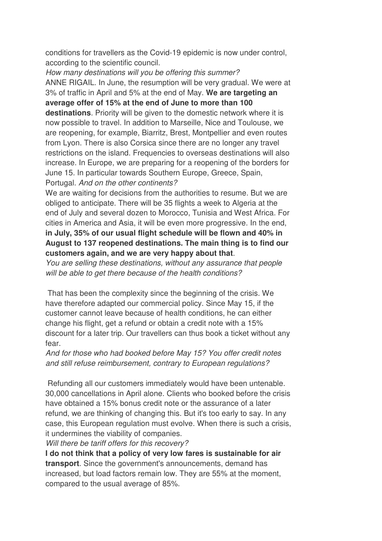conditions for travellers as the Covid-19 epidemic is now under control, according to the scientific council.

How many destinations will you be offering this summer? ANNE RIGAIL. In June, the resumption will be very gradual. We were at 3% of traffic in April and 5% at the end of May. **We are targeting an average offer of 15% at the end of June to more than 100 destinations**. Priority will be given to the domestic network where it is now possible to travel. In addition to Marseille, Nice and Toulouse, we are reopening, for example, Biarritz, Brest, Montpellier and even routes from Lyon. There is also Corsica since there are no longer any travel restrictions on the island. Frequencies to overseas destinations will also increase. In Europe, we are preparing for a reopening of the borders for June 15. In particular towards Southern Europe, Greece, Spain, Portugal. And on the other continents?

We are waiting for decisions from the authorities to resume. But we are obliged to anticipate. There will be 35 flights a week to Algeria at the end of July and several dozen to Morocco, Tunisia and West Africa. For cities in America and Asia, it will be even more progressive. In the end, **in July, 35% of our usual flight schedule will be flown and 40% in August to 137 reopened destinations. The main thing is to find our customers again, and we are very happy about that**.

You are selling these destinations, without any assurance that people will be able to get there because of the health conditions?

 That has been the complexity since the beginning of the crisis. We have therefore adapted our commercial policy. Since May 15, if the customer cannot leave because of health conditions, he can either change his flight, get a refund or obtain a credit note with a 15% discount for a later trip. Our travellers can thus book a ticket without any fear.

And for those who had booked before May 15? You offer credit notes and still refuse reimbursement, contrary to European regulations?

 Refunding all our customers immediately would have been untenable. 30,000 cancellations in April alone. Clients who booked before the crisis have obtained a 15% bonus credit note or the assurance of a later refund, we are thinking of changing this. But it's too early to say. In any case, this European regulation must evolve. When there is such a crisis, it undermines the viability of companies.

Will there be tariff offers for this recovery?

**I do not think that a policy of very low fares is sustainable for air transport**. Since the government's announcements, demand has increased, but load factors remain low. They are 55% at the moment, compared to the usual average of 85%.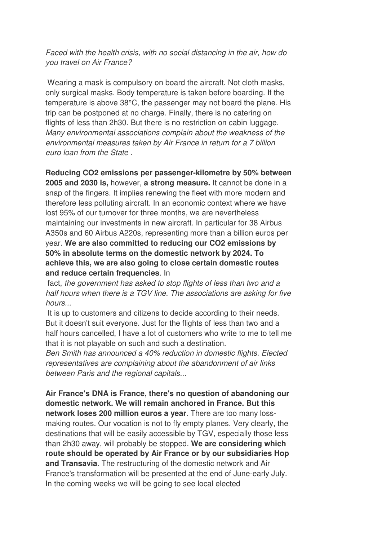Faced with the health crisis, with no social distancing in the air, how do you travel on Air France?

 Wearing a mask is compulsory on board the aircraft. Not cloth masks, only surgical masks. Body temperature is taken before boarding. If the temperature is above 38°C, the passenger may not board the plane. His trip can be postponed at no charge. Finally, there is no catering on flights of less than 2h30. But there is no restriction on cabin luggage. Many environmental associations complain about the weakness of the environmental measures taken by Air France in return for a 7 billion euro loan from the State .

**Reducing CO2 emissions per passenger-kilometre by 50% between 2005 and 2030 is,** however, **a strong measure.** It cannot be done in a snap of the fingers. It implies renewing the fleet with more modern and therefore less polluting aircraft. In an economic context where we have lost 95% of our turnover for three months, we are nevertheless maintaining our investments in new aircraft. In particular for 38 Airbus A350s and 60 Airbus A220s, representing more than a billion euros per year. **We are also committed to reducing our CO2 emissions by 50% in absolute terms on the domestic network by 2024. To achieve this, we are also going to close certain domestic routes and reduce certain frequencies**. In

 fact, the government has asked to stop flights of less than two and a half hours when there is a TGV line. The associations are asking for five hours...

 It is up to customers and citizens to decide according to their needs. But it doesn't suit everyone. Just for the flights of less than two and a half hours cancelled, I have a lot of customers who write to me to tell me that it is not playable on such and such a destination.

Ben Smith has announced a 40% reduction in domestic flights. Elected representatives are complaining about the abandonment of air links between Paris and the regional capitals...

**Air France's DNA is France, there's no question of abandoning our domestic network. We will remain anchored in France. But this network loses 200 million euros a year**. There are too many lossmaking routes. Our vocation is not to fly empty planes. Very clearly, the destinations that will be easily accessible by TGV, especially those less than 2h30 away, will probably be stopped. **We are considering which route should be operated by Air France or by our subsidiaries Hop and Transavia**. The restructuring of the domestic network and Air France's transformation will be presented at the end of June-early July. In the coming weeks we will be going to see local elected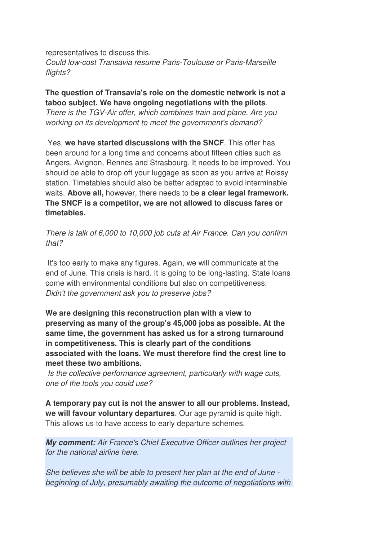representatives to discuss this. Could low-cost Transavia resume Paris-Toulouse or Paris-Marseille flights?

**The question of Transavia's role on the domestic network is not a taboo subject. We have ongoing negotiations with the pilots**. There is the TGV-Air offer, which combines train and plane. Are you working on its development to meet the government's demand?

 Yes, **we have started discussions with the SNCF**. This offer has been around for a long time and concerns about fifteen cities such as Angers, Avignon, Rennes and Strasbourg. It needs to be improved. You should be able to drop off your luggage as soon as you arrive at Roissy station. Timetables should also be better adapted to avoid interminable waits. **Above all,** however, there needs to be **a clear legal framework. The SNCF is a competitor, we are not allowed to discuss fares or timetables.** 

There is talk of 6,000 to 10,000 job cuts at Air France. Can you confirm that?

 It's too early to make any figures. Again, we will communicate at the end of June. This crisis is hard. It is going to be long-lasting. State loans come with environmental conditions but also on competitiveness. Didn't the government ask you to preserve jobs?

**We are designing this reconstruction plan with a view to preserving as many of the group's 45,000 jobs as possible. At the same time, the government has asked us for a strong turnaround in competitiveness. This is clearly part of the conditions associated with the loans. We must therefore find the crest line to meet these two ambitions.** 

 Is the collective performance agreement, particularly with wage cuts, one of the tools you could use?

**A temporary pay cut is not the answer to all our problems. Instead, we will favour voluntary departures**. Our age pyramid is quite high. This allows us to have access to early departure schemes.

*My comment:* Air France's Chief Executive Officer outlines her project for the national airline here.

She believes she will be able to present her plan at the end of June beginning of July, presumably awaiting the outcome of negotiations with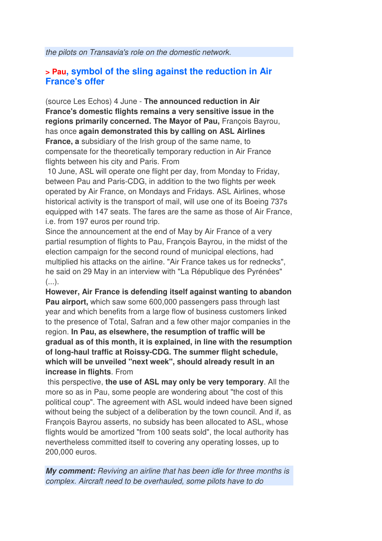### **> Pau, symbol of the sling against the reduction in Air France's offer**

(source Les Echos) 4 June - **The announced reduction in Air France's domestic flights remains a very sensitive issue in the regions primarily concerned. The Mayor of Pau,** François Bayrou, has once **again demonstrated this by calling on ASL Airlines France, a** subsidiary of the Irish group of the same name, to compensate for the theoretically temporary reduction in Air France flights between his city and Paris. From

 10 June, ASL will operate one flight per day, from Monday to Friday, between Pau and Paris-CDG, in addition to the two flights per week operated by Air France, on Mondays and Fridays. ASL Airlines, whose historical activity is the transport of mail, will use one of its Boeing 737s equipped with 147 seats. The fares are the same as those of Air France, i.e. from 197 euros per round trip.

Since the announcement at the end of May by Air France of a very partial resumption of flights to Pau, François Bayrou, in the midst of the election campaign for the second round of municipal elections, had multiplied his attacks on the airline. "Air France takes us for rednecks", he said on 29 May in an interview with "La République des Pyrénées"  $($ ...).

**However, Air France is defending itself against wanting to abandon Pau airport,** which saw some 600,000 passengers pass through last year and which benefits from a large flow of business customers linked to the presence of Total, Safran and a few other major companies in the region. **In Pau, as elsewhere, the resumption of traffic will be gradual as of this month, it is explained, in line with the resumption of long-haul traffic at Roissy-CDG. The summer flight schedule, which will be unveiled "next week", should already result in an increase in flights**. From

 this perspective, **the use of ASL may only be very temporary**. All the more so as in Pau, some people are wondering about "the cost of this political coup". The agreement with ASL would indeed have been signed without being the subject of a deliberation by the town council. And if, as François Bayrou asserts, no subsidy has been allocated to ASL, whose flights would be amortized "from 100 seats sold", the local authority has nevertheless committed itself to covering any operating losses, up to 200,000 euros.

*My comment:* Reviving an airline that has been idle for three months is complex. Aircraft need to be overhauled, some pilots have to do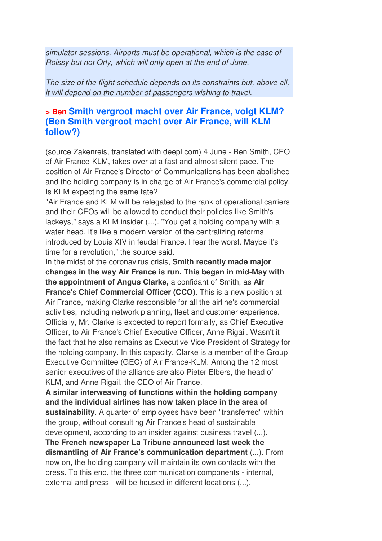simulator sessions. Airports must be operational, which is the case of Roissy but not Orly, which will only open at the end of June.

The size of the flight schedule depends on its constraints but, above all, it will depend on the number of passengers wishing to travel.

#### **> Ben Smith vergroot macht over Air France, volgt KLM? (Ben Smith vergroot macht over Air France, will KLM follow?)**

(source Zakenreis, translated with deepl com) 4 June - Ben Smith, CEO of Air France-KLM, takes over at a fast and almost silent pace. The position of Air France's Director of Communications has been abolished and the holding company is in charge of Air France's commercial policy. Is KLM expecting the same fate?

"Air France and KLM will be relegated to the rank of operational carriers and their CEOs will be allowed to conduct their policies like Smith's lackeys," says a KLM insider (...). "You get a holding company with a water head. It's like a modern version of the centralizing reforms introduced by Louis XIV in feudal France. I fear the worst. Maybe it's time for a revolution," the source said.

In the midst of the coronavirus crisis, **Smith recently made major changes in the way Air France is run. This began in mid-May with the appointment of Angus Clarke,** a confidant of Smith, as **Air France'**s **Chief Commercial Officer (CCO)**. This is a new position at Air France, making Clarke responsible for all the airline's commercial activities, including network planning, fleet and customer experience. Officially, Mr. Clarke is expected to report formally, as Chief Executive Officer, to Air France's Chief Executive Officer, Anne Rigail. Wasn't it the fact that he also remains as Executive Vice President of Strategy for the holding company. In this capacity, Clarke is a member of the Group Executive Committee (GEC) of Air France-KLM. Among the 12 most senior executives of the alliance are also Pieter Elbers, the head of KLM, and Anne Rigail, the CEO of Air France.

**A similar interweaving of functions within the holding company and the individual airlines has now taken place in the area of sustainability**. A quarter of employees have been "transferred" within the group, without consulting Air France's head of sustainable development, according to an insider against business travel (...).

**The French newspaper La Tribune announced last week the dismantling of Air France's communication department** (...). From now on, the holding company will maintain its own contacts with the press. To this end, the three communication components - internal, external and press - will be housed in different locations (...).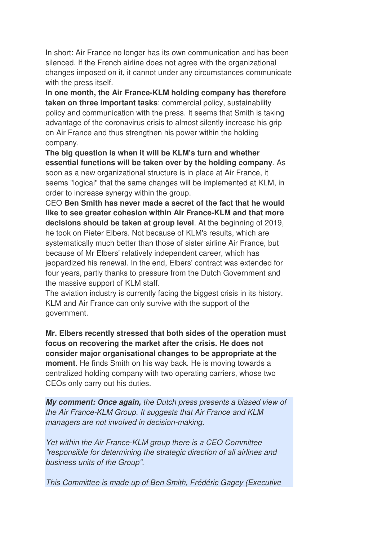In short: Air France no longer has its own communication and has been silenced. If the French airline does not agree with the organizational changes imposed on it, it cannot under any circumstances communicate with the press itself.

**In one month, the Air France-KLM holding company has therefore taken on three important tasks**: commercial policy, sustainability policy and communication with the press. It seems that Smith is taking advantage of the coronavirus crisis to almost silently increase his grip on Air France and thus strengthen his power within the holding company.

**The big question is when it will be KLM's turn and whether essential functions will be taken over by the holding company**. As soon as a new organizational structure is in place at Air France, it seems "logical" that the same changes will be implemented at KLM, in order to increase synergy within the group.

CEO **Ben Smith has never made a secret of the fact that he would like to see greater cohesion within Air France-KLM and that more decisions should be taken at group level**. At the beginning of 2019, he took on Pieter Elbers. Not because of KLM's results, which are systematically much better than those of sister airline Air France, but because of Mr Elbers' relatively independent career, which has jeopardized his renewal. In the end, Elbers' contract was extended for four years, partly thanks to pressure from the Dutch Government and the massive support of KLM staff.

The aviation industry is currently facing the biggest crisis in its history. KLM and Air France can only survive with the support of the government.

**Mr. Elbers recently stressed that both sides of the operation must focus on recovering the market after the crisis. He does not consider major organisational changes to be appropriate at the moment**. He finds Smith on his way back. He is moving towards a centralized holding company with two operating carriers, whose two CEOs only carry out his duties.

*My comment: Once again,* the Dutch press presents a biased view of the Air France-KLM Group. It suggests that Air France and KLM managers are not involved in decision-making.

Yet within the Air France-KLM group there is a CEO Committee "responsible for determining the strategic direction of all airlines and business units of the Group".

This Committee is made up of Ben Smith, Frédéric Gagey (Executive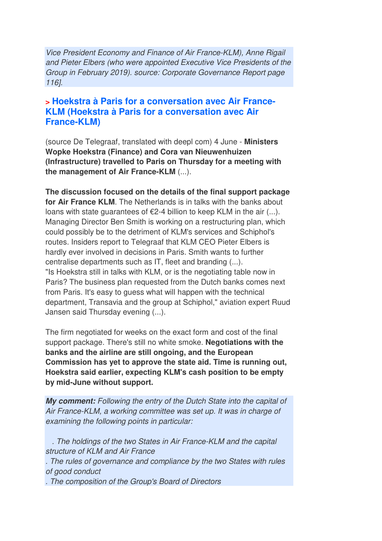Vice President Economy and Finance of Air France-KLM), Anne Rigail and Pieter Elbers (who were appointed Executive Vice Presidents of the Group in February 2019). source: Corporate Governance Report page 116].

#### **> Hoekstra à Paris for a conversation avec Air France-KLM (Hoekstra à Paris for a conversation avec Air France-KLM)**

(source De Telegraaf, translated with deepl com) 4 June - **Ministers Wopke Hoekstra (Finance) and Cora van Nieuwenhuizen (Infrastructure) travelled to Paris on Thursday for a meeting with the management of Air France-KLM** (...).

**The discussion focused on the details of the final support package for Air France KLM**. The Netherlands is in talks with the banks about loans with state guarantees of  $E$ 2-4 billion to keep KLM in the air  $(...)$ . Managing Director Ben Smith is working on a restructuring plan, which could possibly be to the detriment of KLM's services and Schiphol's routes. Insiders report to Telegraaf that KLM CEO Pieter Elbers is hardly ever involved in decisions in Paris. Smith wants to further centralise departments such as IT, fleet and branding (...). "Is Hoekstra still in talks with KLM, or is the negotiating table now in Paris? The business plan requested from the Dutch banks comes next from Paris. It's easy to guess what will happen with the technical department, Transavia and the group at Schiphol," aviation expert Ruud Jansen said Thursday evening (...).

The firm negotiated for weeks on the exact form and cost of the final support package. There's still no white smoke. **Negotiations with the banks and the airline are still ongoing, and the European Commission has yet to approve the state aid. Time is running out, Hoekstra said earlier, expecting KLM's cash position to be empty by mid-June without support.**

*My comment:* Following the entry of the Dutch State into the capital of Air France-KLM, a working committee was set up. It was in charge of examining the following points in particular:

 . The holdings of the two States in Air France-KLM and the capital structure of KLM and Air France . The rules of governance and compliance by the two States with rules of good conduct . The composition of the Group's Board of Directors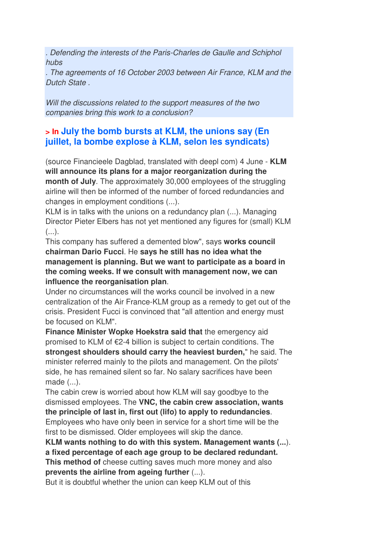. Defending the interests of the Paris-Charles de Gaulle and Schiphol hubs

. The agreements of 16 October 2003 between Air France, KLM and the Dutch State .

Will the discussions related to the support measures of the two companies bring this work to a conclusion?

### **> In July the bomb bursts at KLM, the unions say (En juillet, la bombe explose à KLM, selon les syndicats)**

(source Financieele Dagblad, translated with deepl com) 4 June - **KLM will announce its plans for a major reorganization during the month of July.** The approximately 30,000 employees of the struggling airline will then be informed of the number of forced redundancies and changes in employment conditions (...).

KLM is in talks with the unions on a redundancy plan (...). Managing Director Pieter Elbers has not yet mentioned any figures for (small) KLM  $($ ...).

This company has suffered a demented blow", says **works council chairman Dario Fucci**. He **says he still has no idea what the management is planning. But we want to participate as a board in the coming weeks. If we consult with management now, we can influence the reorganisation plan**.

Under no circumstances will the works council be involved in a new centralization of the Air France-KLM group as a remedy to get out of the crisis. President Fucci is convinced that "all attention and energy must be focused on KLM".

**Finance Minister Wopke Hoekstra said that** the emergency aid promised to KLM of €2-4 billion is subject to certain conditions. The **strongest shoulders should carry the heaviest burden,**" he said. The minister referred mainly to the pilots and management. On the pilots' side, he has remained silent so far. No salary sacrifices have been made (...).

The cabin crew is worried about how KLM will say goodbye to the dismissed employees. The **VNC, the cabin crew association, wants the principle of last in, first out (lifo) to apply to redundancies**.

Employees who have only been in service for a short time will be the first to be dismissed. Older employees will skip the dance.

**KLM wants nothing to do with this system. Management wants (...**). **a fixed percentage of each age group to be declared redundant. This method of** cheese cutting saves much more money and also **prevents the airline from ageing further** (...).

But it is doubtful whether the union can keep KLM out of this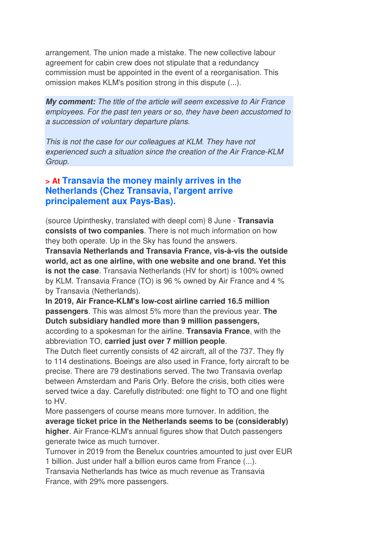arrangement. The union made a mistake. The new collective labour agreement for cabin crew does not stipulate that a redundancy commission must be appointed in the event of a reorganisation. This omission makes KLM's position strong in this dispute (...).

*My comment:* The title of the article will seem excessive to Air France employees. For the past ten years or so, they have been accustomed to a succession of voluntary departure plans.

This is not the case for our colleagues at KLM. They have not experienced such a situation since the creation of the Air France-KLM Group.

### **> At Transavia the money mainly arrives in the Netherlands (Chez Transavia, l'argent arrive principalement aux Pays-Bas).**

(source Upinthesky, translated with deepl com) 8 June - **Transavia consists of two companies**. There is not much information on how they both operate. Up in the Sky has found the answers.

**Transavia Netherlands and Transavia France, vis-à-vis the outside world, act as one airline, with one website and one brand. Yet this is not the case**. Transavia Netherlands (HV for short) is 100% owned by KLM. Transavia France (TO) is 96 % owned by Air France and 4 % by Transavia (Netherlands).

**In 2019, Air France-KLM's low-cost airline carried 16.5 million passengers**. This was almost 5% more than the previous year. **The Dutch subsidiary handled more than 9 million passengers,**

according to a spokesman for the airline. **Transavia France**, with the abbreviation TO, **carried just over 7 million people**.

The Dutch fleet currently consists of 42 aircraft, all of the 737. They fly to 114 destinations. Boeings are also used in France, forty aircraft to be precise. There are 79 destinations served. The two Transavia overlap between Amsterdam and Paris Orly. Before the crisis, both cities were served twice a day. Carefully distributed: one flight to TO and one flight to HV.

More passengers of course means more turnover. In addition, the **average ticket price in the Netherlands seems to be (considerably) higher**. Air France-KLM's annual figures show that Dutch passengers generate twice as much turnover.

Turnover in 2019 from the Benelux countries amounted to just over EUR 1 billion. Just under half a billion euros came from France (...).

Transavia Netherlands has twice as much revenue as Transavia France, with 29% more passengers.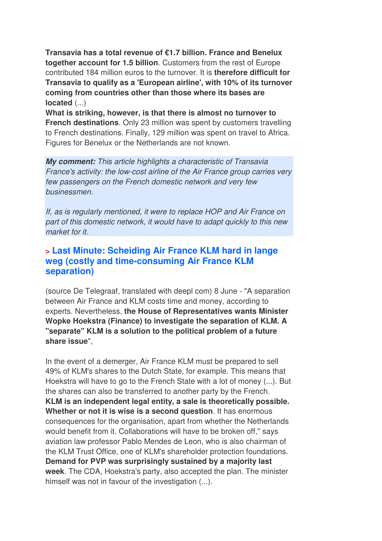**Transavia has a total revenue of €1.7 billion. France and Benelux together account for 1.5 billion**. Customers from the rest of Europe contributed 184 million euros to the turnover. It is **therefore difficult for Transavia to qualify as a 'European airline', with 10% of its turnover coming from countries other than those where its bases are located** (...)

**What is striking, however, is that there is almost no turnover to French destinations**. Only 23 million was spent by customers travelling to French destinations. Finally, 129 million was spent on travel to Africa. Figures for Benelux or the Netherlands are not known.

*My comment:* This article highlights a characteristic of Transavia France's activity: the low-cost airline of the Air France group carries very few passengers on the French domestic network and very few businessmen.

If, as is regularly mentioned, it were to replace HOP and Air France on part of this domestic network, it would have to adapt quickly to this new market for it.

#### **> Last Minute: Scheiding Air France KLM hard in lange weg (costly and time-consuming Air France KLM separation)**

(source De Telegraaf, translated with deepl com) 8 June - "A separation between Air France and KLM costs time and money, according to experts. Nevertheless, **the House of Representatives wants Minister Wopke Hoekstra (Finance) to investigate the separation of KLM. A "separate" KLM is a solution to the political problem of a future share issue**",

In the event of a demerger, Air France KLM must be prepared to sell 49% of KLM's shares to the Dutch State, for example. This means that Hoekstra will have to go to the French State with a lot of money (...). But the shares can also be transferred to another party by the French. **KLM is an independent legal entity, a sale is theoretically possible. Whether or not it is wise is a second question**. It has enormous consequences for the organisation, apart from whether the Netherlands would benefit from it. Collaborations will have to be broken off," says aviation law professor Pablo Mendes de Leon, who is also chairman of the KLM Trust Office, one of KLM's shareholder protection foundations. **Demand for PVP was surprisingly sustained by a majority last week**. The CDA, Hoekstra's party, also accepted the plan. The minister himself was not in favour of the investigation (...).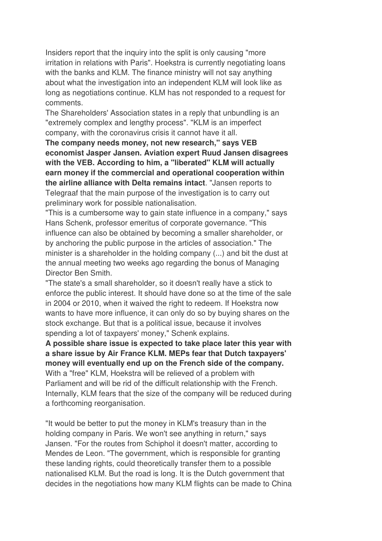Insiders report that the inquiry into the split is only causing "more irritation in relations with Paris". Hoekstra is currently negotiating loans with the banks and KLM. The finance ministry will not say anything about what the investigation into an independent KLM will look like as long as negotiations continue. KLM has not responded to a request for comments.

The Shareholders' Association states in a reply that unbundling is an "extremely complex and lengthy process". "KLM is an imperfect company, with the coronavirus crisis it cannot have it all.

**The company needs money, not new research," says VEB economist Jasper Jansen. Aviation expert Ruud Jansen disagrees with the VEB. According to him, a "liberated" KLM will actually earn money if the commercial and operational cooperation within the airline alliance with Delta remains intact**. "Jansen reports to Telegraaf that the main purpose of the investigation is to carry out preliminary work for possible nationalisation.

"This is a cumbersome way to gain state influence in a company," says Hans Schenk, professor emeritus of corporate governance. "This influence can also be obtained by becoming a smaller shareholder, or by anchoring the public purpose in the articles of association." The minister is a shareholder in the holding company (...) and bit the dust at the annual meeting two weeks ago regarding the bonus of Managing Director Ben Smith.

"The state's a small shareholder, so it doesn't really have a stick to enforce the public interest. It should have done so at the time of the sale in 2004 or 2010, when it waived the right to redeem. If Hoekstra now wants to have more influence, it can only do so by buying shares on the stock exchange. But that is a political issue, because it involves spending a lot of taxpayers' money," Schenk explains.

**A possible share issue is expected to take place later this year with a share issue by Air France KLM. MEPs fear that Dutch taxpayers' money will eventually end up on the French side of the company.**  With a "free" KLM, Hoekstra will be relieved of a problem with Parliament and will be rid of the difficult relationship with the French. Internally, KLM fears that the size of the company will be reduced during a forthcoming reorganisation.

"It would be better to put the money in KLM's treasury than in the holding company in Paris. We won't see anything in return," says Jansen. "For the routes from Schiphol it doesn't matter, according to Mendes de Leon. "The government, which is responsible for granting these landing rights, could theoretically transfer them to a possible nationalised KLM. But the road is long. It is the Dutch government that decides in the negotiations how many KLM flights can be made to China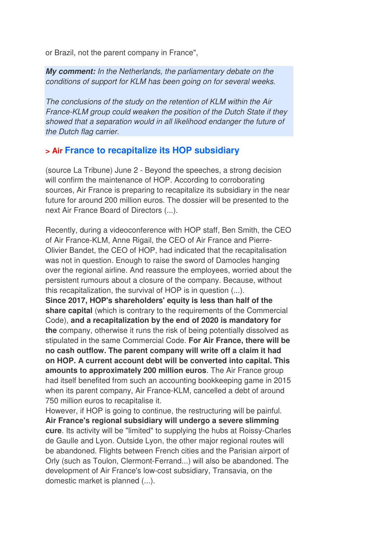or Brazil, not the parent company in France",

*My comment:* In the Netherlands, the parliamentary debate on the conditions of support for KLM has been going on for several weeks.

The conclusions of the study on the retention of KLM within the Air France-KLM group could weaken the position of the Dutch State if they showed that a separation would in all likelihood endanger the future of the Dutch flag carrier.

#### **> Air France to recapitalize its HOP subsidiary**

(source La Tribune) June 2 - Beyond the speeches, a strong decision will confirm the maintenance of HOP. According to corroborating sources, Air France is preparing to recapitalize its subsidiary in the near future for around 200 million euros. The dossier will be presented to the next Air France Board of Directors (...).

Recently, during a videoconference with HOP staff, Ben Smith, the CEO of Air France-KLM, Anne Rigail, the CEO of Air France and Pierre-Olivier Bandet, the CEO of HOP, had indicated that the recapitalisation was not in question. Enough to raise the sword of Damocles hanging over the regional airline. And reassure the employees, worried about the persistent rumours about a closure of the company. Because, without this recapitalization, the survival of HOP is in question (...). **Since 2017, HOP's shareholders' equity is less than half of the share capital** (which is contrary to the requirements of the Commercial Code), **and a recapitalization by the end of 2020 is mandatory for the** company, otherwise it runs the risk of being potentially dissolved as stipulated in the same Commercial Code. **For Air France, there will be no cash outflow. The parent company will write off a claim it had on HOP. A current account debt will be converted into capital. This amounts to approximately 200 million euros**. The Air France group had itself benefited from such an accounting bookkeeping game in 2015 when its parent company, Air France-KLM, cancelled a debt of around 750 million euros to recapitalise it.

However, if HOP is going to continue, the restructuring will be painful. **Air France's regional subsidiary will undergo a severe slimming cure**. Its activity will be "limited" to supplying the hubs at Roissy-Charles de Gaulle and Lyon. Outside Lyon, the other major regional routes will be abandoned. Flights between French cities and the Parisian airport of Orly (such as Toulon, Clermont-Ferrand...) will also be abandoned. The development of Air France's low-cost subsidiary, Transavia, on the domestic market is planned (...).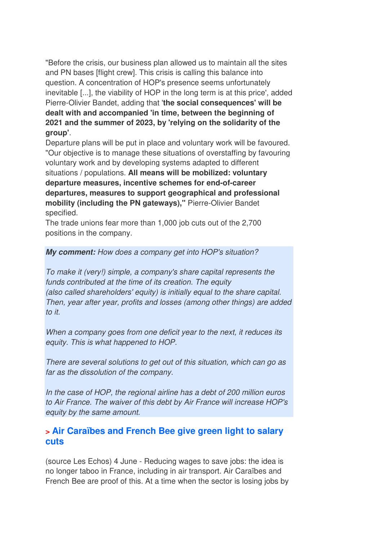"Before the crisis, our business plan allowed us to maintain all the sites and PN bases [flight crew]. This crisis is calling this balance into question. A concentration of HOP's presence seems unfortunately inevitable [...], the viability of HOP in the long term is at this price', added Pierre-Olivier Bandet, adding that '**the social consequences' will be dealt with and accompanied 'in time, between the beginning of 2021 and the summer of 2023, by 'relying on the solidarity of the group'**.

Departure plans will be put in place and voluntary work will be favoured. "Our objective is to manage these situations of overstaffing by favouring voluntary work and by developing systems adapted to different situations / populations. **All means will be mobilized: voluntary departure measures, incentive schemes for end-of-career departures, measures to support geographical and professional mobility (including the PN gateways),"** Pierre-Olivier Bandet specified.

The trade unions fear more than 1,000 job cuts out of the 2,700 positions in the company.

#### *My comment:* How does a company get into HOP's situation?

To make it (very!) simple, a company's share capital represents the funds contributed at the time of its creation. The equity (also called shareholders' equity) is initially equal to the share capital. Then, year after year, profits and losses (among other things) are added to it.

When a company goes from one deficit year to the next, it reduces its equity. This is what happened to HOP.

There are several solutions to get out of this situation, which can go as far as the dissolution of the company.

In the case of HOP, the regional airline has a debt of 200 million euros to Air France. The waiver of this debt by Air France will increase HOP's equity by the same amount.

### **> Air Caraïbes and French Bee give green light to salary cuts**

(source Les Echos) 4 June - Reducing wages to save jobs: the idea is no longer taboo in France, including in air transport. Air Caraïbes and French Bee are proof of this. At a time when the sector is losing jobs by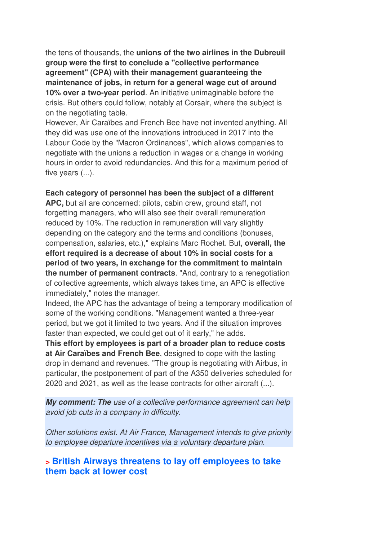the tens of thousands, the **unions of the two airlines in the Dubreuil group were the first to conclude a "collective performance agreement" (CPA) with their management guaranteeing the maintenance of jobs, in return for a general wage cut of around 10% over a two-year period**. An initiative unimaginable before the crisis. But others could follow, notably at Corsair, where the subject is on the negotiating table.

However, Air Caraïbes and French Bee have not invented anything. All they did was use one of the innovations introduced in 2017 into the Labour Code by the "Macron Ordinances", which allows companies to negotiate with the unions a reduction in wages or a change in working hours in order to avoid redundancies. And this for a maximum period of five years  $(...)$ .

#### **Each category of personnel has been the subject of a different**

**APC,** but all are concerned: pilots, cabin crew, ground staff, not forgetting managers, who will also see their overall remuneration reduced by 10%. The reduction in remuneration will vary slightly depending on the category and the terms and conditions (bonuses, compensation, salaries, etc.)," explains Marc Rochet. But, **overall, the effort required is a decrease of about 10% in social costs for a period of two years, in exchange for the commitment to maintain the number of permanent contracts**. "And, contrary to a renegotiation of collective agreements, which always takes time, an APC is effective immediately," notes the manager.

Indeed, the APC has the advantage of being a temporary modification of some of the working conditions. "Management wanted a three-year period, but we got it limited to two years. And if the situation improves faster than expected, we could get out of it early," he adds.

**This effort by employees is part of a broader plan to reduce costs at Air Caraïbes and French Bee**, designed to cope with the lasting drop in demand and revenues. "The group is negotiating with Airbus, in particular, the postponement of part of the A350 deliveries scheduled for 2020 and 2021, as well as the lease contracts for other aircraft (...).

*My comment: The* use of a collective performance agreement can help avoid job cuts in a company in difficulty.

Other solutions exist. At Air France, Management intends to give priority to employee departure incentives via a voluntary departure plan.

### **> British Airways threatens to lay off employees to take them back at lower cost**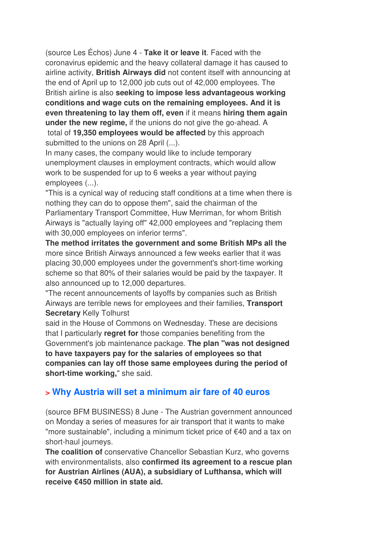(source Les Échos) June 4 - **Take it or leave it**. Faced with the coronavirus epidemic and the heavy collateral damage it has caused to airline activity, **British Airways did** not content itself with announcing at the end of April up to 12,000 job cuts out of 42,000 employees. The British airline is also **seeking to impose less advantageous working conditions and wage cuts on the remaining employees. And it is even threatening to lay them off, even** if it means **hiring them again under the new regime,** if the unions do not give the go-ahead. A total of **19,350 employees would be affected** by this approach submitted to the unions on 28 April (...).

In many cases, the company would like to include temporary unemployment clauses in employment contracts, which would allow work to be suspended for up to 6 weeks a year without paying employees (...).

"This is a cynical way of reducing staff conditions at a time when there is nothing they can do to oppose them", said the chairman of the Parliamentary Transport Committee, Huw Merriman, for whom British Airways is "actually laying off" 42,000 employees and "replacing them with 30,000 employees on inferior terms".

**The method irritates the government and some British MPs all the** more since British Airways announced a few weeks earlier that it was placing 30,000 employees under the government's short-time working scheme so that 80% of their salaries would be paid by the taxpayer. It also announced up to 12,000 departures.

"The recent announcements of layoffs by companies such as British Airways are terrible news for employees and their families, **Transport Secretary** Kelly Tolhurst

said in the House of Commons on Wednesday. These are decisions that I particularly **regret for** those companies benefiting from the Government's job maintenance package. **The plan "was not designed to have taxpayers pay for the salaries of employees so that companies can lay off those same employees during the period of short-time working,**" she said.

### **> Why Austria will set a minimum air fare of 40 euros**

(source BFM BUSINESS) 8 June - The Austrian government announced on Monday a series of measures for air transport that it wants to make "more sustainable", including a minimum ticket price of €40 and a tax on short-haul journeys.

**The coalition of** conservative Chancellor Sebastian Kurz, who governs with environmentalists, also **confirmed its agreement to a rescue plan for Austrian Airlines (AUA), a subsidiary of Lufthansa, which will receive €450 million in state aid.**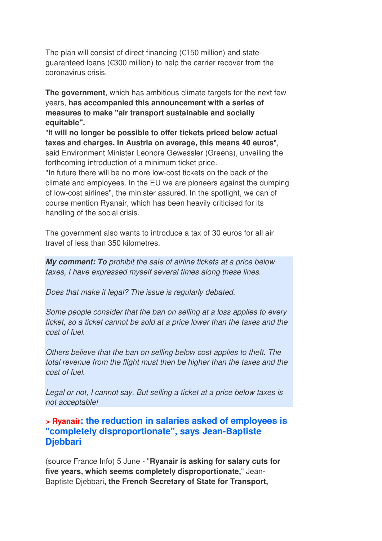The plan will consist of direct financing ( $€150$  million) and stateguaranteed loans (€300 million) to help the carrier recover from the coronavirus crisis.

**The government**, which has ambitious climate targets for the next few years, **has accompanied this announcement with a series of measures to make "air transport sustainable and socially equitable".** 

"It **will no longer be possible to offer tickets priced below actual taxes and charges. In Austria on average, this means 40 euros**", said Environment Minister Leonore Gewessler (Greens), unveiling the forthcoming introduction of a minimum ticket price.

"In future there will be no more low-cost tickets on the back of the climate and employees. In the EU we are pioneers against the dumping of low-cost airlines", the minister assured. In the spotlight, we can of course mention Ryanair, which has been heavily criticised for its handling of the social crisis.

The government also wants to introduce a tax of 30 euros for all air travel of less than 350 kilometres.

*My comment: To* prohibit the sale of airline tickets at a price below taxes, I have expressed myself several times along these lines.

Does that make it legal? The issue is regularly debated.

Some people consider that the ban on selling at a loss applies to every ticket, so a ticket cannot be sold at a price lower than the taxes and the cost of fuel.

Others believe that the ban on selling below cost applies to theft. The total revenue from the flight must then be higher than the taxes and the cost of fuel.

Legal or not, I cannot say. But selling a ticket at a price below taxes is not acceptable!

**> Ryanair: the reduction in salaries asked of employees is "completely disproportionate", says Jean-Baptiste Djebbari**

(source France Info) 5 June - "**Ryanair is asking for salary cuts for five years, which seems completely disproportionate,**" Jean-Baptiste Djebbari**, the French Secretary of State for Transport,**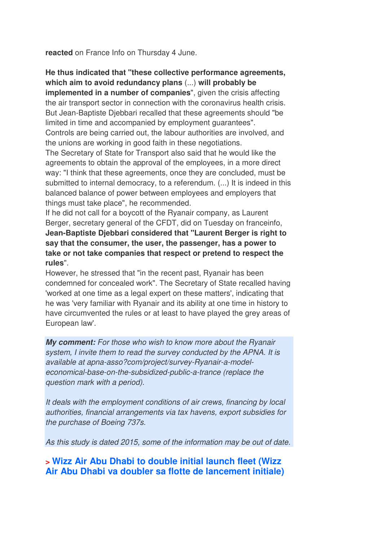**reacted** on France Info on Thursday 4 June.

**He thus indicated that "these collective performance agreements, which aim to avoid redundancy plans** (...) **will probably be implemented in a number of companies**", given the crisis affecting the air transport sector in connection with the coronavirus health crisis. But Jean-Baptiste Djebbari recalled that these agreements should "be limited in time and accompanied by employment guarantees". Controls are being carried out, the labour authorities are involved, and the unions are working in good faith in these negotiations.

The Secretary of State for Transport also said that he would like the agreements to obtain the approval of the employees, in a more direct way: "I think that these agreements, once they are concluded, must be submitted to internal democracy, to a referendum. (...) It is indeed in this balanced balance of power between employees and employers that things must take place", he recommended.

If he did not call for a boycott of the Ryanair company, as Laurent Berger, secretary general of the CFDT, did on Tuesday on franceinfo, **Jean-Baptiste Djebbari considered that "Laurent Berger is right to say that the consumer, the user, the passenger, has a power to take or not take companies that respect or pretend to respect the rules**".

However, he stressed that "in the recent past, Ryanair has been condemned for concealed work". The Secretary of State recalled having 'worked at one time as a legal expert on these matters', indicating that he was 'very familiar with Ryanair and its ability at one time in history to have circumvented the rules or at least to have played the grey areas of European law'.

*My comment:* For those who wish to know more about the Ryanair system, I invite them to read the survey conducted by the APNA. It is available at apna-asso?com/project/survey-Ryanair-a-modeleconomical-base-on-the-subsidized-public-a-trance (replace the question mark with a period).

It deals with the employment conditions of air crews, financing by local authorities, financial arrangements via tax havens, export subsidies for the purchase of Boeing 737s.

As this study is dated 2015, some of the information may be out of date.

**> Wizz Air Abu Dhabi to double initial launch fleet (Wizz Air Abu Dhabi va doubler sa flotte de lancement initiale)**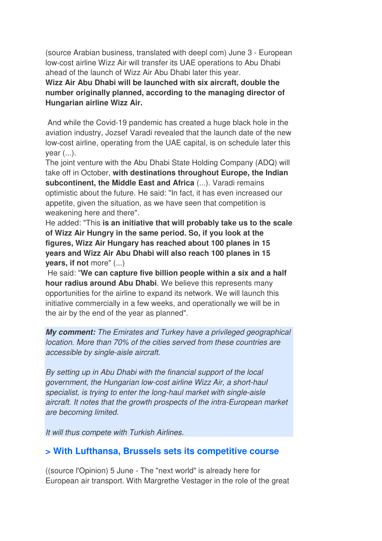(source Arabian business, translated with deepl com) June 3 - European low-cost airline Wizz Air will transfer its UAE operations to Abu Dhabi ahead of the launch of Wizz Air Abu Dhabi later this year.

**Wizz Air Abu Dhabi will be launched with six aircraft, double the number originally planned, according to the managing director of Hungarian airline Wizz Air.** 

 And while the Covid-19 pandemic has created a huge black hole in the aviation industry, Jozsef Varadi revealed that the launch date of the new low-cost airline, operating from the UAE capital, is on schedule later this vear  $(...)$ .

The joint venture with the Abu Dhabi State Holding Company (ADQ) will take off in October, **with destinations throughout Europe, the Indian subcontinent, the Middle East and Africa** (...). Varadi remains optimistic about the future. He said: "In fact, it has even increased our appetite, given the situation, as we have seen that competition is weakening here and there".

He added: "This **is an initiative that will probably take us to the scale of Wizz Air Hungry in the same period. So, if you look at the figures, Wizz Air Hungary has reached about 100 planes in 15 years and Wizz Air Abu Dhabi will also reach 100 planes in 15 years, if not** more" (...)

 He said: "**We can capture five billion people within a six and a half hour radius around Abu Dhabi**. We believe this represents many opportunities for the airline to expand its network. We will launch this initiative commercially in a few weeks, and operationally we will be in the air by the end of the year as planned".

*My comment:* The Emirates and Turkey have a privileged geographical location. More than 70% of the cities served from these countries are accessible by single-aisle aircraft.

By setting up in Abu Dhabi with the financial support of the local government, the Hungarian low-cost airline Wizz Air, a short-haul specialist, is trying to enter the long-haul market with single-aisle aircraft. It notes that the growth prospects of the intra-European market are becoming limited.

It will thus compete with Turkish Airlines.

#### **> With Lufthansa, Brussels sets its competitive course**

((source l'Opinion) 5 June - The "next world" is already here for European air transport. With Margrethe Vestager in the role of the great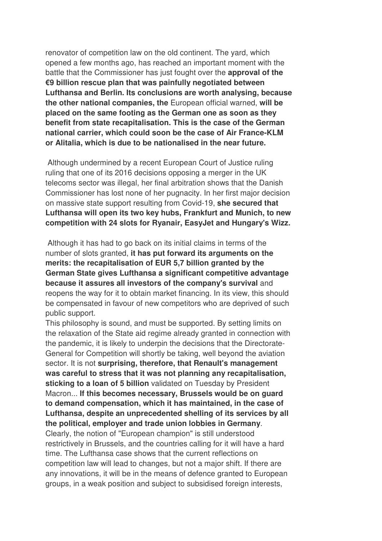renovator of competition law on the old continent. The yard, which opened a few months ago, has reached an important moment with the battle that the Commissioner has just fought over the **approval of the €9 billion rescue plan that was painfully negotiated between Lufthansa and Berlin. Its conclusions are worth analysing, because the other national companies, the** European official warned, **will be placed on the same footing as the German one as soon as they benefit from state recapitalisation. This is the case of the German national carrier, which could soon be the case of Air France-KLM or Alitalia, which is due to be nationalised in the near future.** 

 Although undermined by a recent European Court of Justice ruling ruling that one of its 2016 decisions opposing a merger in the UK telecoms sector was illegal, her final arbitration shows that the Danish Commissioner has lost none of her pugnacity. In her first major decision on massive state support resulting from Covid-19, **she secured that Lufthansa will open its two key hubs, Frankfurt and Munich, to new competition with 24 slots for Ryanair, EasyJet and Hungary's Wizz.**

 Although it has had to go back on its initial claims in terms of the number of slots granted, **it has put forward its arguments on the merits: the recapitalisation of EUR 5,7 billion granted by the German State gives Lufthansa a significant competitive advantage because it assures all investors of the company's survival** and reopens the way for it to obtain market financing. In its view, this should be compensated in favour of new competitors who are deprived of such public support.

This philosophy is sound, and must be supported. By setting limits on the relaxation of the State aid regime already granted in connection with the pandemic, it is likely to underpin the decisions that the Directorate-General for Competition will shortly be taking, well beyond the aviation sector. It is not **surprising, therefore, that Renault's management was careful to stress that it was not planning any recapitalisation, sticking to a loan of 5 billion** validated on Tuesday by President Macron... **If this becomes necessary, Brussels would be on guard to demand compensation, which it has maintained, in the case of Lufthansa, despite an unprecedented shelling of its services by all the political, employer and trade union lobbies in Germany**. Clearly, the notion of "European champion" is still understood restrictively in Brussels, and the countries calling for it will have a hard time. The Lufthansa case shows that the current reflections on competition law will lead to changes, but not a major shift. If there are any innovations, it will be in the means of defence granted to European groups, in a weak position and subject to subsidised foreign interests,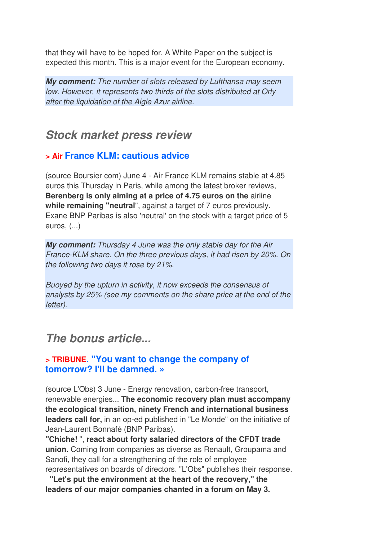that they will have to be hoped for. A White Paper on the subject is expected this month. This is a major event for the European economy.

*My comment:* The number of slots released by Lufthansa may seem low. However, it represents two thirds of the slots distributed at Orly after the liquidation of the Aigle Azur airline.

# *Stock market press review*

### **> Air France KLM: cautious advice**

(source Boursier com) June 4 - Air France KLM remains stable at 4.85 euros this Thursday in Paris, while among the latest broker reviews, **Berenberg is only aiming at a price of 4.75 euros on the** airline **while remaining "neutral**", against a target of 7 euros previously. Exane BNP Paribas is also 'neutral' on the stock with a target price of 5 euros, (...)

*My comment:* Thursday 4 June was the only stable day for the Air France-KLM share. On the three previous days, it had risen by 20%. On the following two days it rose by 21%.

Buoyed by the upturn in activity, it now exceeds the consensus of analysts by 25% (see my comments on the share price at the end of the letter).

# *The bonus article...*

### **> TRIBUNE. "You want to change the company of tomorrow? I'll be damned. »**

(source L'Obs) 3 June - Energy renovation, carbon-free transport, renewable energies... **The economic recovery plan must accompany the ecological transition, ninety French and international business leaders call for,** in an op-ed published in "Le Monde" on the initiative of Jean-Laurent Bonnafé (BNP Paribas).

**"Chiche!** ", **react about forty salaried directors of the CFDT trade union**. Coming from companies as diverse as Renault, Groupama and Sanofi, they call for a strengthening of the role of employee representatives on boards of directors. "L'Obs" publishes their response.

 **"Let's put the environment at the heart of the recovery," the leaders of our major companies chanted in a forum on May 3.**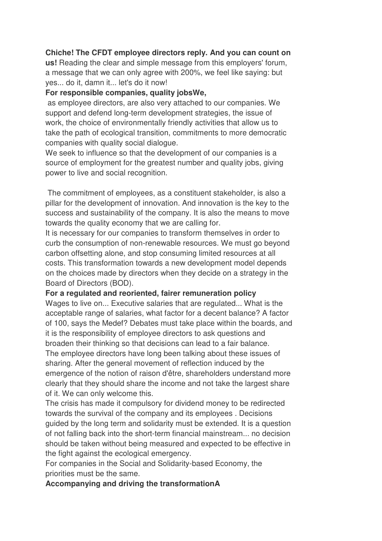#### **Chiche! The CFDT employee directors reply. And you can count on**

**us!** Reading the clear and simple message from this employers' forum, a message that we can only agree with 200%, we feel like saying: but yes... do it, damn it... let's do it now!

#### **For responsible companies, quality jobsWe,**

 as employee directors, are also very attached to our companies. We support and defend long-term development strategies, the issue of work, the choice of environmentally friendly activities that allow us to take the path of ecological transition, commitments to more democratic companies with quality social dialogue.

We seek to influence so that the development of our companies is a source of employment for the greatest number and quality jobs, giving power to live and social recognition.

 The commitment of employees, as a constituent stakeholder, is also a pillar for the development of innovation. And innovation is the key to the success and sustainability of the company. It is also the means to move towards the quality economy that we are calling for.

It is necessary for our companies to transform themselves in order to curb the consumption of non-renewable resources. We must go beyond carbon offsetting alone, and stop consuming limited resources at all costs. This transformation towards a new development model depends on the choices made by directors when they decide on a strategy in the Board of Directors (BOD).

#### **For a regulated and reoriented, fairer remuneration policy**

Wages to live on... Executive salaries that are regulated... What is the acceptable range of salaries, what factor for a decent balance? A factor of 100, says the Medef? Debates must take place within the boards, and it is the responsibility of employee directors to ask questions and broaden their thinking so that decisions can lead to a fair balance. The employee directors have long been talking about these issues of

sharing. After the general movement of reflection induced by the emergence of the notion of raison d'être, shareholders understand more clearly that they should share the income and not take the largest share of it. We can only welcome this.

The crisis has made it compulsory for dividend money to be redirected towards the survival of the company and its employees . Decisions guided by the long term and solidarity must be extended. It is a question of not falling back into the short-term financial mainstream... no decision should be taken without being measured and expected to be effective in the fight against the ecological emergency.

For companies in the Social and Solidarity-based Economy, the priorities must be the same.

**Accompanying and driving the transformationA**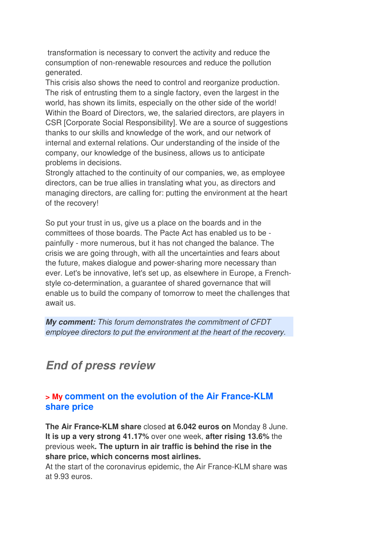transformation is necessary to convert the activity and reduce the consumption of non-renewable resources and reduce the pollution generated.

This crisis also shows the need to control and reorganize production. The risk of entrusting them to a single factory, even the largest in the world, has shown its limits, especially on the other side of the world! Within the Board of Directors, we, the salaried directors, are players in CSR [Corporate Social Responsibility]. We are a source of suggestions thanks to our skills and knowledge of the work, and our network of internal and external relations. Our understanding of the inside of the company, our knowledge of the business, allows us to anticipate problems in decisions.

Strongly attached to the continuity of our companies, we, as employee directors, can be true allies in translating what you, as directors and managing directors, are calling for: putting the environment at the heart of the recovery!

So put your trust in us, give us a place on the boards and in the committees of those boards. The Pacte Act has enabled us to be painfully - more numerous, but it has not changed the balance. The crisis we are going through, with all the uncertainties and fears about the future, makes dialogue and power-sharing more necessary than ever. Let's be innovative, let's set up, as elsewhere in Europe, a Frenchstyle co-determination, a guarantee of shared governance that will enable us to build the company of tomorrow to meet the challenges that await us.

*My comment:* This forum demonstrates the commitment of CFDT employee directors to put the environment at the heart of the recovery.

# *End of press review*

### **> My comment on the evolution of the Air France-KLM share price**

**The Air France-KLM share** closed **at 6.042 euros on** Monday 8 June. **It is up a very strong 41.17%** over one week, **after rising 13.6%** the previous week**. The upturn in air traffic is behind the rise in the share price, which concerns most airlines.** 

At the start of the coronavirus epidemic, the Air France-KLM share was at 9.93 euros.